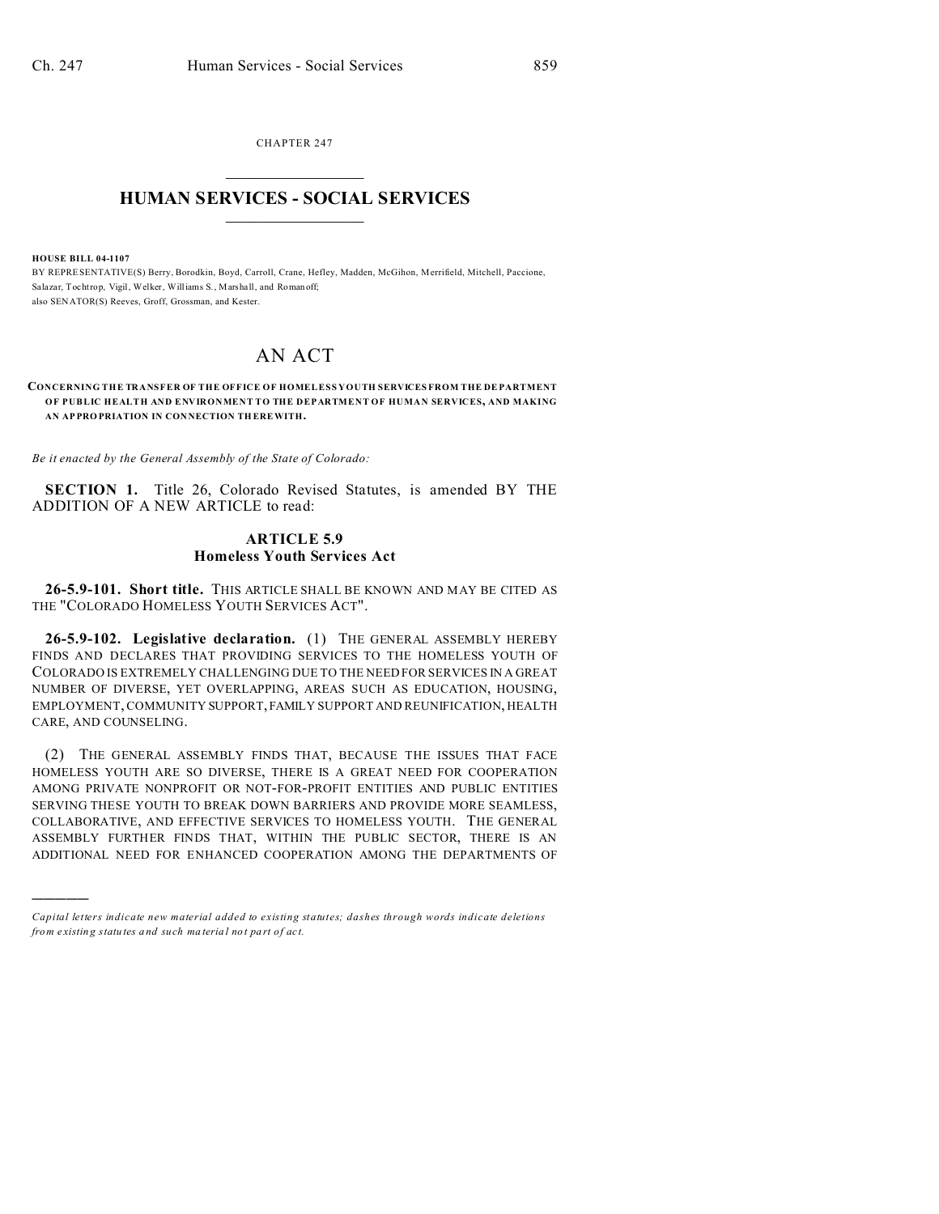CHAPTER 247  $\overline{\phantom{a}}$  , where  $\overline{\phantom{a}}$ 

## **HUMAN SERVICES - SOCIAL SERVICES**  $\frac{1}{2}$  ,  $\frac{1}{2}$  ,  $\frac{1}{2}$  ,  $\frac{1}{2}$  ,  $\frac{1}{2}$  ,  $\frac{1}{2}$  ,  $\frac{1}{2}$

**HOUSE BILL 04-1107**

)))))

BY REPRESENTATIVE(S) Berry, Borodkin, Boyd, Carroll, Crane, Hefley, Madden, McGihon, Merrifield, Mitchell, Paccione, Salazar, Tochtrop, Vigil, Welker, Williams S., Marshall, and Roman off; also SENATOR(S) Reeves, Groff, Grossman, and Kester.

## AN ACT

**CONCERNING THE TRANSFER OF THE OFFICE OF HOMELESS YOUTH SERVICES FROM THE DEPARTMENT OF PUBLIC HEALTH AND ENVIRONMENT TO THE DEPARTMENT OF HUMAN SERVICES, AND MAKING AN AP PRO PRIATION IN CON NECTION TH EREWITH.**

*Be it enacted by the General Assembly of the State of Colorado:*

**SECTION 1.** Title 26, Colorado Revised Statutes, is amended BY THE ADDITION OF A NEW ARTICLE to read:

## **ARTICLE 5.9 Homeless Youth Services Act**

**26-5.9-101. Short title.** THIS ARTICLE SHALL BE KNOWN AND MAY BE CITED AS THE "COLORADO HOMELESS YOUTH SERVICES ACT".

**26-5.9-102. Legislative declaration.** (1) THE GENERAL ASSEMBLY HEREBY FINDS AND DECLARES THAT PROVIDING SERVICES TO THE HOMELESS YOUTH OF COLORADO IS EXTREMELY CHALLENGING DUE TO THE NEED FOR SERVICES IN A GREAT NUMBER OF DIVERSE, YET OVERLAPPING, AREAS SUCH AS EDUCATION, HOUSING, EMPLOYMENT, COMMUNITY SUPPORT, FAMILY SUPPORT AND REUNIFICATION, HEALTH CARE, AND COUNSELING.

(2) THE GENERAL ASSEMBLY FINDS THAT, BECAUSE THE ISSUES THAT FACE HOMELESS YOUTH ARE SO DIVERSE, THERE IS A GREAT NEED FOR COOPERATION AMONG PRIVATE NONPROFIT OR NOT-FOR-PROFIT ENTITIES AND PUBLIC ENTITIES SERVING THESE YOUTH TO BREAK DOWN BARRIERS AND PROVIDE MORE SEAMLESS, COLLABORATIVE, AND EFFECTIVE SERVICES TO HOMELESS YOUTH. THE GENERAL ASSEMBLY FURTHER FINDS THAT, WITHIN THE PUBLIC SECTOR, THERE IS AN ADDITIONAL NEED FOR ENHANCED COOPERATION AMONG THE DEPARTMENTS OF

*Capital letters indicate new material added to existing statutes; dashes through words indicate deletions from e xistin g statu tes a nd such ma teria l no t pa rt of ac t.*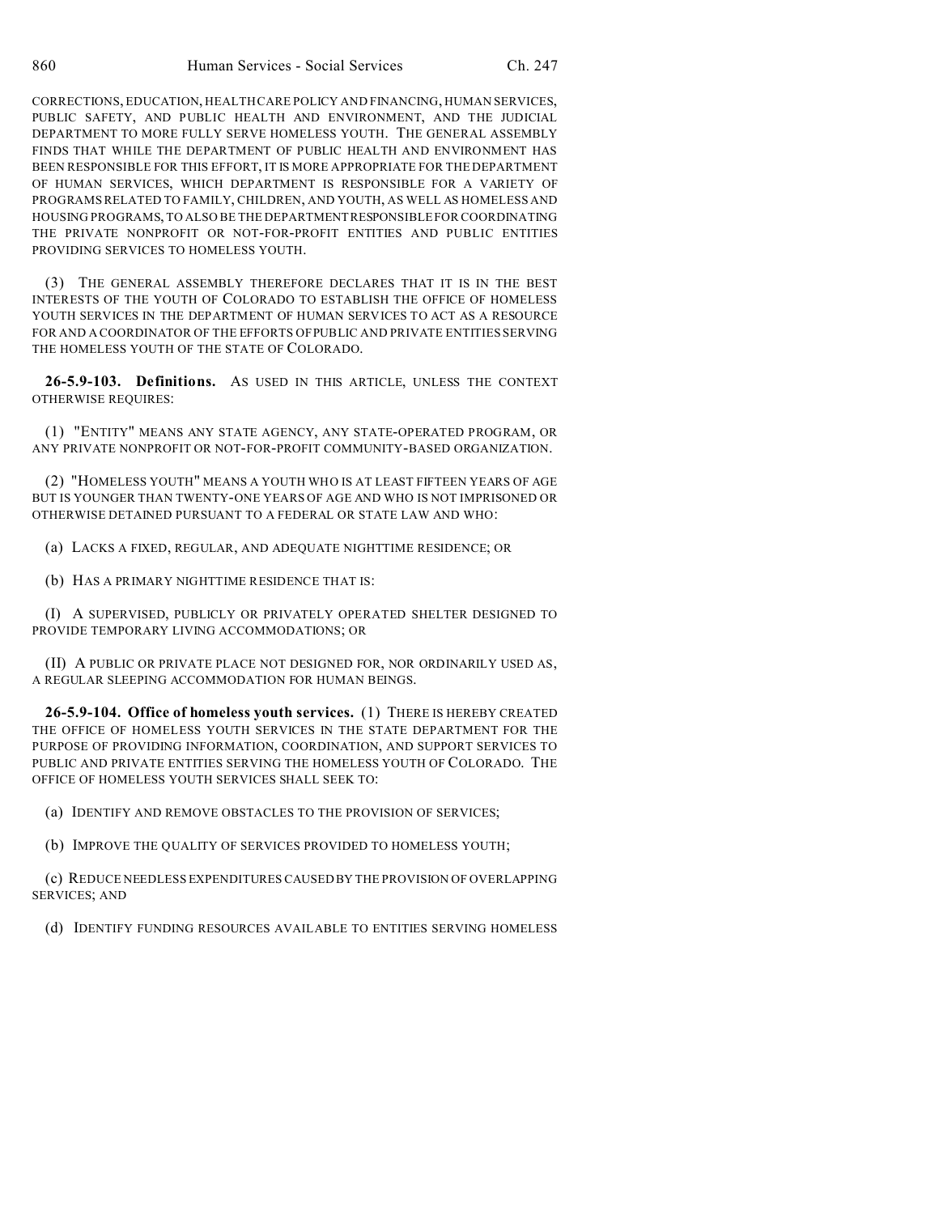CORRECTIONS, EDUCATION, HEALTH CARE POLICY AND FINANCING, HUMAN SERVICES, PUBLIC SAFETY, AND PUBLIC HEALTH AND ENVIRONMENT, AND THE JUDICIAL DEPARTMENT TO MORE FULLY SERVE HOMELESS YOUTH. THE GENERAL ASSEMBLY FINDS THAT WHILE THE DEPARTMENT OF PUBLIC HEALTH AND ENVIRONMENT HAS BEEN RESPONSIBLE FOR THIS EFFORT, IT IS MORE APPROPRIATE FOR THE DEPARTMENT OF HUMAN SERVICES, WHICH DEPARTMENT IS RESPONSIBLE FOR A VARIETY OF PROGRAMS RELATED TO FAMILY, CHILDREN, AND YOUTH, AS WELL AS HOMELESS AND HOUSING PROGRAMS, TO ALSO BE THE DEPARTMENTRESPONSIBLE FOR COORDINATING THE PRIVATE NONPROFIT OR NOT-FOR-PROFIT ENTITIES AND PUBLIC ENTITIES PROVIDING SERVICES TO HOMELESS YOUTH.

(3) THE GENERAL ASSEMBLY THEREFORE DECLARES THAT IT IS IN THE BEST INTERESTS OF THE YOUTH OF COLORADO TO ESTABLISH THE OFFICE OF HOMELESS YOUTH SERVICES IN THE DEPARTMENT OF HUMAN SERVICES TO ACT AS A RESOURCE FOR AND A COORDINATOR OF THE EFFORTS OF PUBLIC AND PRIVATE ENTITIES SERVING THE HOMELESS YOUTH OF THE STATE OF COLORADO.

**26-5.9-103. Definitions.** AS USED IN THIS ARTICLE, UNLESS THE CONTEXT OTHERWISE REQUIRES:

(1) "ENTITY" MEANS ANY STATE AGENCY, ANY STATE-OPERATED PROGRAM, OR ANY PRIVATE NONPROFIT OR NOT-FOR-PROFIT COMMUNITY-BASED ORGANIZATION.

(2) "HOMELESS YOUTH" MEANS A YOUTH WHO IS AT LEAST FIFTEEN YEARS OF AGE BUT IS YOUNGER THAN TWENTY-ONE YEARS OF AGE AND WHO IS NOT IMPRISONED OR OTHERWISE DETAINED PURSUANT TO A FEDERAL OR STATE LAW AND WHO:

(a) LACKS A FIXED, REGULAR, AND ADEQUATE NIGHTTIME RESIDENCE; OR

(b) HAS A PRIMARY NIGHTTIME RESIDENCE THAT IS:

(I) A SUPERVISED, PUBLICLY OR PRIVATELY OPERATED SHELTER DESIGNED TO PROVIDE TEMPORARY LIVING ACCOMMODATIONS; OR

(II) A PUBLIC OR PRIVATE PLACE NOT DESIGNED FOR, NOR ORDINARILY USED AS, A REGULAR SLEEPING ACCOMMODATION FOR HUMAN BEINGS.

**26-5.9-104. Office of homeless youth services.** (1) THERE IS HEREBY CREATED THE OFFICE OF HOMELESS YOUTH SERVICES IN THE STATE DEPARTMENT FOR THE PURPOSE OF PROVIDING INFORMATION, COORDINATION, AND SUPPORT SERVICES TO PUBLIC AND PRIVATE ENTITIES SERVING THE HOMELESS YOUTH OF COLORADO. THE OFFICE OF HOMELESS YOUTH SERVICES SHALL SEEK TO:

(a) IDENTIFY AND REMOVE OBSTACLES TO THE PROVISION OF SERVICES;

(b) IMPROVE THE QUALITY OF SERVICES PROVIDED TO HOMELESS YOUTH;

(c) REDUCE NEEDLESS EXPENDITURES CAUSED BY THE PROVISION OF OVERLAPPING SERVICES; AND

(d) IDENTIFY FUNDING RESOURCES AVAILABLE TO ENTITIES SERVING HOMELESS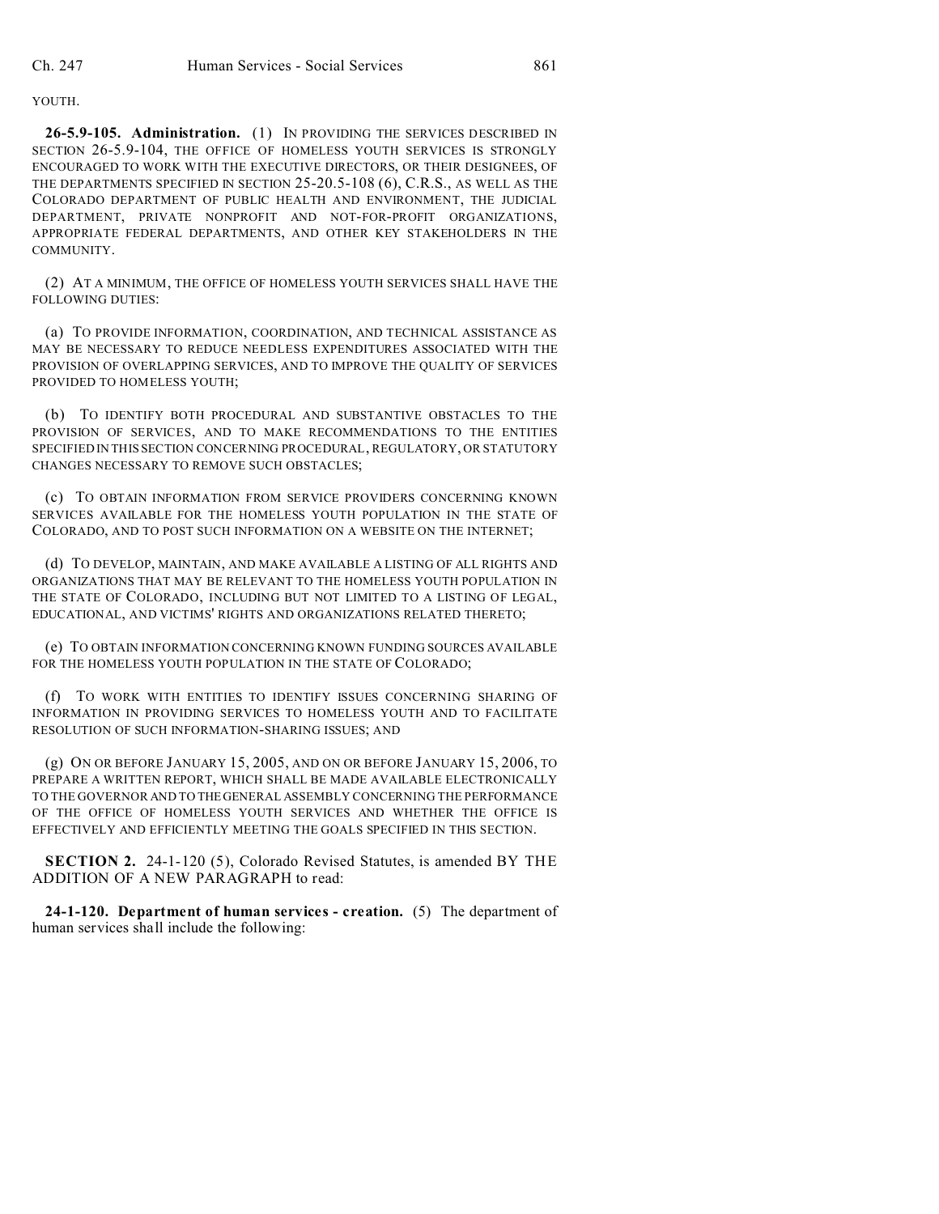## YOUTH.

**26-5.9-105. Administration.** (1) IN PROVIDING THE SERVICES DESCRIBED IN SECTION 26-5.9-104, THE OFFICE OF HOMELESS YOUTH SERVICES IS STRONGLY ENCOURAGED TO WORK WITH THE EXECUTIVE DIRECTORS, OR THEIR DESIGNEES, OF THE DEPARTMENTS SPECIFIED IN SECTION 25-20.5-108 (6), C.R.S., AS WELL AS THE COLORADO DEPARTMENT OF PUBLIC HEALTH AND ENVIRONMENT, THE JUDICIAL DEPARTMENT, PRIVATE NONPROFIT AND NOT-FOR-PROFIT ORGANIZATIONS, APPROPRIATE FEDERAL DEPARTMENTS, AND OTHER KEY STAKEHOLDERS IN THE COMMUNITY.

(2) AT A MINIMUM, THE OFFICE OF HOMELESS YOUTH SERVICES SHALL HAVE THE FOLLOWING DUTIES:

(a) TO PROVIDE INFORMATION, COORDINATION, AND TECHNICAL ASSISTANCE AS MAY BE NECESSARY TO REDUCE NEEDLESS EXPENDITURES ASSOCIATED WITH THE PROVISION OF OVERLAPPING SERVICES, AND TO IMPROVE THE QUALITY OF SERVICES PROVIDED TO HOMELESS YOUTH;

(b) TO IDENTIFY BOTH PROCEDURAL AND SUBSTANTIVE OBSTACLES TO THE PROVISION OF SERVICES, AND TO MAKE RECOMMENDATIONS TO THE ENTITIES SPECIFIED IN THIS SECTION CONCERNING PROCEDURAL, REGULATORY, OR STATUTORY CHANGES NECESSARY TO REMOVE SUCH OBSTACLES;

(c) TO OBTAIN INFORMATION FROM SERVICE PROVIDERS CONCERNING KNOWN SERVICES AVAILABLE FOR THE HOMELESS YOUTH POPULATION IN THE STATE OF COLORADO, AND TO POST SUCH INFORMATION ON A WEBSITE ON THE INTERNET;

(d) TO DEVELOP, MAINTAIN, AND MAKE AVAILABLE A LISTING OF ALL RIGHTS AND ORGANIZATIONS THAT MAY BE RELEVANT TO THE HOMELESS YOUTH POPULATION IN THE STATE OF COLORADO, INCLUDING BUT NOT LIMITED TO A LISTING OF LEGAL, EDUCATIONAL, AND VICTIMS' RIGHTS AND ORGANIZATIONS RELATED THERETO;

(e) TO OBTAIN INFORMATION CONCERNING KNOWN FUNDING SOURCES AVAILABLE FOR THE HOMELESS YOUTH POPULATION IN THE STATE OF COLORADO;

(f) TO WORK WITH ENTITIES TO IDENTIFY ISSUES CONCERNING SHARING OF INFORMATION IN PROVIDING SERVICES TO HOMELESS YOUTH AND TO FACILITATE RESOLUTION OF SUCH INFORMATION-SHARING ISSUES; AND

(g) ON OR BEFORE JANUARY 15, 2005, AND ON OR BEFORE JANUARY 15, 2006, TO PREPARE A WRITTEN REPORT, WHICH SHALL BE MADE AVAILABLE ELECTRONICALLY TO THE GOVERNOR AND TO THEGENERAL ASSEMBLY CONCERNING THE PERFORMANCE OF THE OFFICE OF HOMELESS YOUTH SERVICES AND WHETHER THE OFFICE IS EFFECTIVELY AND EFFICIENTLY MEETING THE GOALS SPECIFIED IN THIS SECTION.

**SECTION 2.** 24-1-120 (5), Colorado Revised Statutes, is amended BY THE ADDITION OF A NEW PARAGRAPH to read:

**24-1-120. Department of human services - creation.** (5) The department of human services shall include the following: